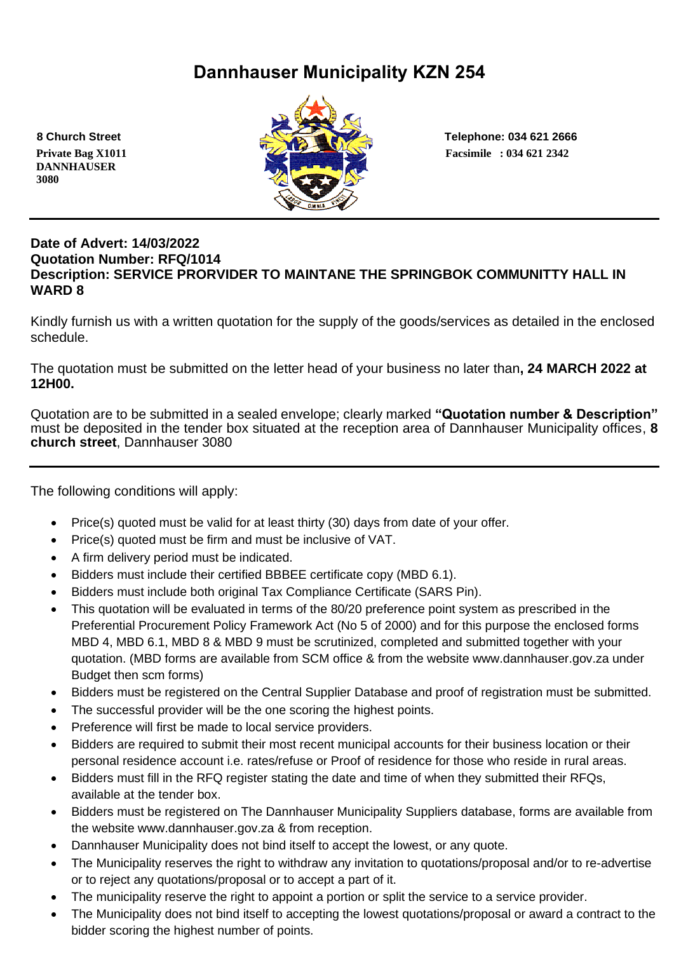# **Dannhauser Municipality KZN 254**

 **DANNHAUSER 3080** 



 **8 Church Street Telephone: 034 621 2666**

#### **Date of Advert: 14/03/2022 Quotation Number: RFQ/1014 Description: SERVICE PRORVIDER TO MAINTANE THE SPRINGBOK COMMUNITTY HALL IN WARD 8**

Kindly furnish us with a written quotation for the supply of the goods/services as detailed in the enclosed schedule.

The quotation must be submitted on the letter head of your business no later than**, 24 MARCH 2022 at 12H00.**

Quotation are to be submitted in a sealed envelope; clearly marked **"Quotation number & Description"** must be deposited in the tender box situated at the reception area of Dannhauser Municipality offices, **8 church street**, Dannhauser 3080

The following conditions will apply:

- Price(s) quoted must be valid for at least thirty (30) days from date of your offer.
- Price(s) quoted must be firm and must be inclusive of VAT.
- A firm delivery period must be indicated.
- Bidders must include their certified BBBEE certificate copy (MBD 6.1).
- Bidders must include both original Tax Compliance Certificate (SARS Pin).
- This quotation will be evaluated in terms of the 80/20 preference point system as prescribed in the Preferential Procurement Policy Framework Act (No 5 of 2000) and for this purpose the enclosed forms MBD 4, MBD 6.1, MBD 8 & MBD 9 must be scrutinized, completed and submitted together with your quotation. (MBD forms are available from SCM office & from the website www.dannhauser.gov.za under Budget then scm forms)
- Bidders must be registered on the Central Supplier Database and proof of registration must be submitted.
- The successful provider will be the one scoring the highest points.
- Preference will first be made to local service providers.
- Bidders are required to submit their most recent municipal accounts for their business location or their personal residence account i.e. rates/refuse or Proof of residence for those who reside in rural areas.
- Bidders must fill in the RFQ register stating the date and time of when they submitted their RFQs, available at the tender box.
- Bidders must be registered on The Dannhauser Municipality Suppliers database, forms are available from the website www.dannhauser.gov.za & from reception.
- Dannhauser Municipality does not bind itself to accept the lowest, or any quote.
- The Municipality reserves the right to withdraw any invitation to quotations/proposal and/or to re-advertise or to reject any quotations/proposal or to accept a part of it.
- The municipality reserve the right to appoint a portion or split the service to a service provider.
- The Municipality does not bind itself to accepting the lowest quotations/proposal or award a contract to the bidder scoring the highest number of points.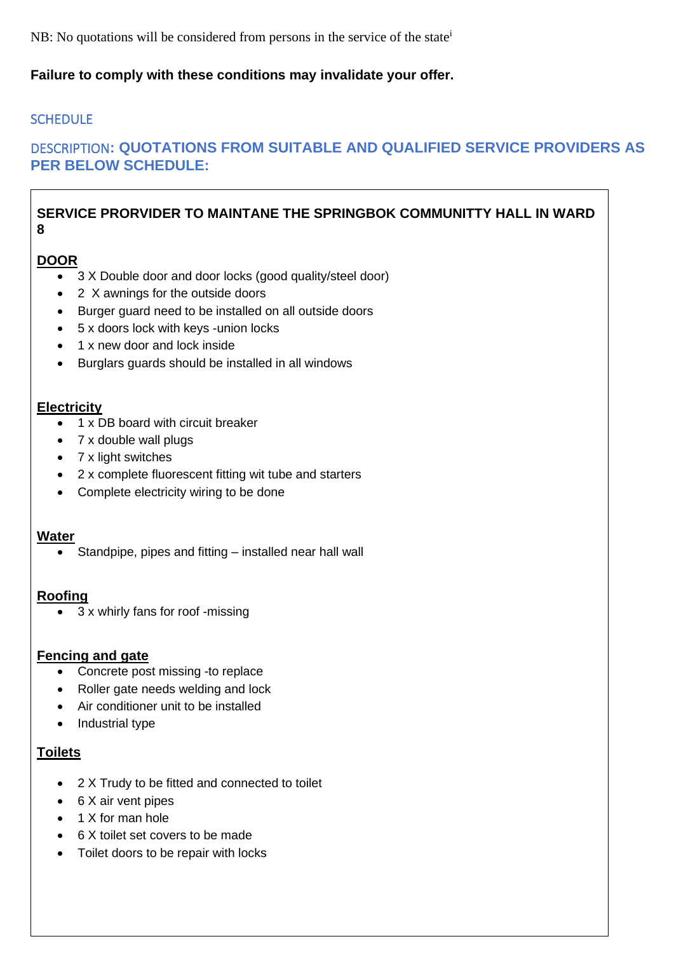NB: No quotations will be considered from persons in the service of the state<sup>i</sup>

## **Failure to comply with these conditions may invalidate your offer.**

## **SCHEDULE**

# DESCRIPTION**: QUOTATIONS FROM SUITABLE AND QUALIFIED SERVICE PROVIDERS AS PER BELOW SCHEDULE:**

#### **SERVICE PRORVIDER TO MAINTANE THE SPRINGBOK COMMUNITTY HALL IN WARD 8**

#### **DOOR**

- 3 X Double door and door locks (good quality/steel door)
- 2 X awnings for the outside doors
- Burger guard need to be installed on all outside doors
- 5 x doors lock with keys -union locks
- 1 x new door and lock inside
- Burglars guards should be installed in all windows

#### **Electricity**

- 1 x DB board with circuit breaker
- 7 x double wall plugs
- 7 x light switches
- 2 x complete fluorescent fitting wit tube and starters
- Complete electricity wiring to be done

#### **Water**

• Standpipe, pipes and fitting – installed near hall wall

#### **Roofing**

• 3 x whirly fans for roof -missing

#### **Fencing and gate**

- Concrete post missing -to replace
- Roller gate needs welding and lock
- Air conditioner unit to be installed
- Industrial type

#### **Toilets**

- 2 X Trudy to be fitted and connected to toilet
- 6 X air vent pipes
- 1 X for man hole
- 6 X toilet set covers to be made
- Toilet doors to be repair with locks